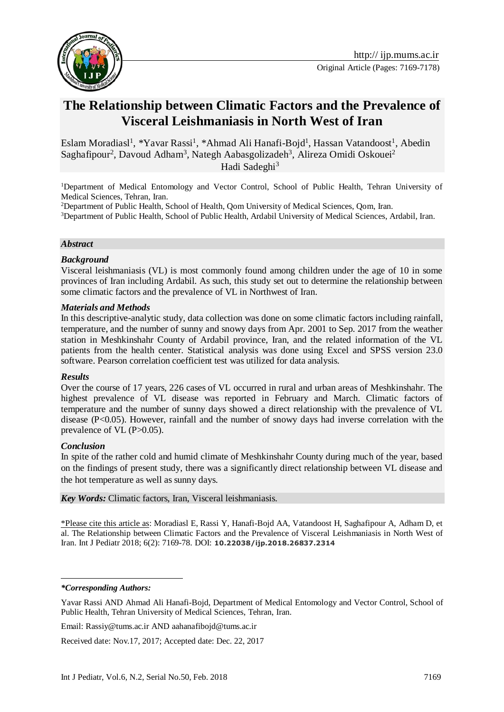

# **The Relationship between Climatic Factors and the Prevalence of Visceral Leishmaniasis in North West of Iran**

Eslam Moradiasl<sup>1</sup>, \*Yavar Rassi<sup>1</sup>, \*Ahmad Ali Hanafi-Bojd<sup>1</sup>, Hassan Vatandoost<sup>1</sup>, Abedin Saghafipour<sup>2</sup>, Davoud Adham<sup>3</sup>, Nategh Aabasgolizadeh<sup>3</sup>, Alireza Omidi Oskouei<sup>2</sup> Hadi Sadeghi<sup>3</sup>

<sup>1</sup>Department of Medical Entomology and Vector Control, School of Public Health, Tehran University of Medical Sciences, Tehran, Iran.

<sup>2</sup>Department of Public Health, School of Health, Qom University of Medical Sciences, Qom, Iran.

<sup>3</sup>Department of Public Health, School of Public Health, Ardabil University of Medical Sciences, Ardabil, Iran.

#### *Abstract*

#### *Background*

Visceral leishmaniasis (VL) is most commonly found among children under the age of 10 in some provinces of Iran including Ardabil. As such, this study set out to determine the relationship between some climatic factors and the prevalence of VL in Northwest of Iran.

#### *Materials and Methods*

In this descriptive-analytic study, data collection was done on some climatic factors including rainfall, temperature, and the number of sunny and snowy days from Apr. 2001 to Sep. 2017 from the weather station in Meshkinshahr County of Ardabil province, Iran, and the related information of the VL patients from the health center. Statistical analysis was done using Excel and SPSS version 23.0 software. Pearson correlation coefficient test was utilized for data analysis.

#### *Results*

Over the course of 17 years, 226 cases of VL occurred in rural and urban areas of Meshkinshahr. The highest prevalence of VL disease was reported in February and March. Climatic factors of temperature and the number of sunny days showed a direct relationship with the prevalence of VL disease  $(P<0.05)$ . However, rainfall and the number of snowy days had inverse correlation with the prevalence of VL (P>0.05).

#### *Conclusion*

In spite of the rather cold and humid climate of Meshkinshahr County during much of the year, based on the findings of present study, there was a significantly direct relationship between VL disease and the hot temperature as well as sunny days.

*Key Words:* Climatic factors, Iran, Visceral leishmaniasis.

\*Please cite this article as: Moradiasl E, Rassi Y, Hanafi-Bojd AA, Vatandoost H, Saghafipour A, Adham D, et al. The Relationship between Climatic Factors and the Prevalence of Visceral Leishmaniasis in North West of Iran. Int J Pediatr 2018; 6(2): 7169-78. DOI: **10.22038/ijp.2018.26837.2314**

<u>.</u>

Email: Rassiy@tums.ac.ir AND aahanafibojd@tums.ac.ir

Received date: Nov.17, 2017; Accepted date: Dec. 22, 2017

*<sup>\*</sup>Corresponding Authors:*

Yavar Rassi AND Ahmad Ali Hanafi-Bojd, Department of Medical Entomology and Vector Control, School of Public Health, Tehran University of Medical Sciences, Tehran, Iran.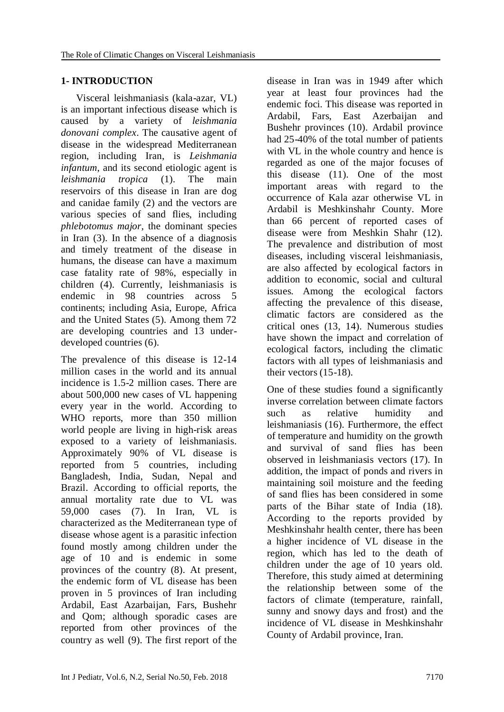# **1- INTRODUCTION**

 Visceral leishmaniasis (kala-azar, VL) is an important infectious disease which is caused by a variety of *leishmania donovani complex*. The causative agent of disease in the widespread Mediterranean region, including Iran, is *Leishmania infantum*, and its second etiologic agent is *leishmania tropica* (1). The main reservoirs of this disease in Iran are dog and canidae family (2) and the vectors are various species of sand flies, including *phlebotomus major*, the dominant species in Iran (3). In the absence of a diagnosis and timely treatment of the disease in humans, the disease can have a maximum case fatality rate of 98%, especially in children (4). Currently, leishmaniasis is endemic in 98 countries across 5 continents; including Asia, Europe, Africa and the United States (5). Among them 72 are developing countries and 13 underdeveloped countries (6).

The prevalence of this disease is 12-14 million cases in the world and its annual incidence is 1.5-2 million cases. There are about 500,000 new cases of VL happening every year in the world. According to WHO reports, more than 350 million world people are living in high-risk areas exposed to a variety of leishmaniasis. Approximately 90% of VL disease is reported from 5 countries, including Bangladesh, India, Sudan, Nepal and Brazil. According to official reports, the annual mortality rate due to VL was 59,000 cases (7). In Iran, VL is characterized as the Mediterranean type of disease whose agent is a parasitic infection found mostly among children under the age of 10 and is endemic in some provinces of the country (8). At present, the endemic form of VL disease has been proven in 5 provinces of Iran including Ardabil, East Azarbaijan, Fars, Bushehr and Qom; although sporadic cases are reported from other provinces of the country as well (9). The first report of the disease in Iran was in 1949 after which year at least four provinces had the endemic foci. This disease was reported in Ardabil, Fars, East Azerbaijan and Bushehr provinces (10). Ardabil province had 25-40% of the total number of patients with VL in the whole country and hence is regarded as one of the major focuses of this disease (11). One of the most important areas with regard to the occurrence of Kala azar otherwise VL in Ardabil is Meshkinshahr County. More than 66 percent of reported cases of disease were from Meshkin Shahr (12). The prevalence and distribution of most diseases, including visceral leishmaniasis, are also affected by ecological factors in addition to economic, social and cultural issues. Among the ecological factors affecting the prevalence of this disease, climatic factors are considered as the critical ones (13, 14). Numerous studies have shown the impact and correlation of ecological factors, including the climatic factors with all types of leishmaniasis and their vectors (15-18).

One of these studies found a significantly inverse correlation between climate factors such as relative humidity and leishmaniasis (16). Furthermore, the effect of temperature and humidity on the growth and survival of sand flies has been observed in leishmaniasis vectors (17). In addition, the impact of ponds and rivers in maintaining soil moisture and the feeding of sand flies has been considered in some parts of the Bihar state of India (18). According to the reports provided by Meshkinshahr health center, there has been a higher incidence of VL disease in the region, which has led to the death of children under the age of 10 years old. Therefore, this study aimed at determining the relationship between some of the factors of climate (temperature, rainfall, sunny and snowy days and frost) and the incidence of VL disease in Meshkinshahr County of Ardabil province, Iran.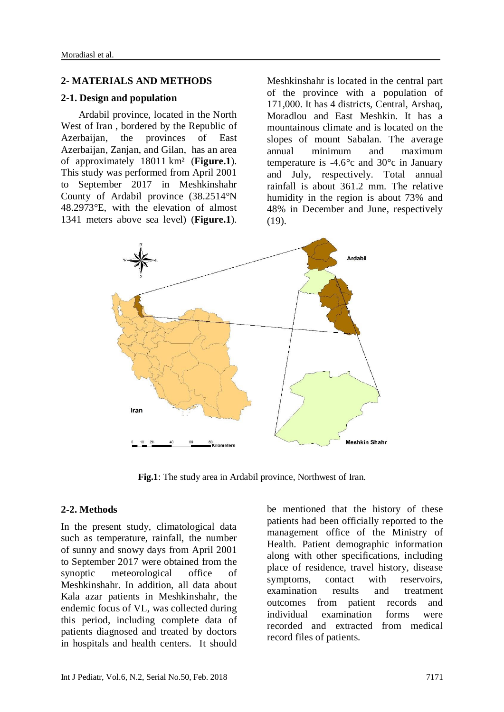#### **2- MATERIALS AND METHODS**

#### **2-1. Design and population**

 Ardabil province, located in the North West of Iran , bordered by the [Republic of](https://en.wikipedia.org/wiki/Azerbaijan)  [Azerbaijan,](https://en.wikipedia.org/wiki/Azerbaijan) the provinces of [East](https://en.wikipedia.org/wiki/East_Azerbaijan_Province)  [Azerbaijan,](https://en.wikipedia.org/wiki/East_Azerbaijan_Province) [Zanjan,](https://en.wikipedia.org/wiki/Zanjan_Province) and [Gilan,](https://en.wikipedia.org/wiki/Gilan_Province) has an area of approximately 18011 km² (**Figure.1**). This study was performed from April 2001 to September 2017 in Meshkinshahr County of Ardabil province [\(38.2514°N](https://tools.wmflabs.org/geohack/geohack.php?pagename=Ardabil_Province¶ms=38.2514_N_48.2973_E_region:IR_type:adm1st)  [48.2973°E,](https://tools.wmflabs.org/geohack/geohack.php?pagename=Ardabil_Province¶ms=38.2514_N_48.2973_E_region:IR_type:adm1st) with the elevation of almost 1341 meters above sea level) (**Figure.1**).

Meshkinshahr is located in the central part of the province with a population of 171,000. It has 4 districts, Central, Arshaq, Moradlou and East Meshkin. It has a mountainous climate and is located on the slopes of mount Sabalan. The average annual minimum and maximum temperature is  $-4.6^{\circ}$ c and  $30^{\circ}$ c in January and July, respectively. Total annual rainfall is about 361.2 mm. The relative humidity in the region is about 73% and 48% in December and June, respectively (19).



**Fig.1**: The study area in Ardabil province, Northwest of Iran.

#### **2-2. Methods**

In the present study, climatological data such as temperature, rainfall, the number of sunny and snowy days from April 2001 to September 2017 were obtained from the synoptic meteorological office of Meshkinshahr. In addition, all data about Kala azar patients in Meshkinshahr, the endemic focus of VL, was collected during this period, including complete data of patients diagnosed and treated by doctors in hospitals and health centers. It should

be mentioned that the history of these patients had been officially reported to the management office of the Ministry of Health. Patient demographic information along with other specifications, including place of residence, travel history, disease symptoms, contact with reservoirs, examination results and treatment outcomes from patient records and individual examination forms were recorded and extracted from medical record files of patients.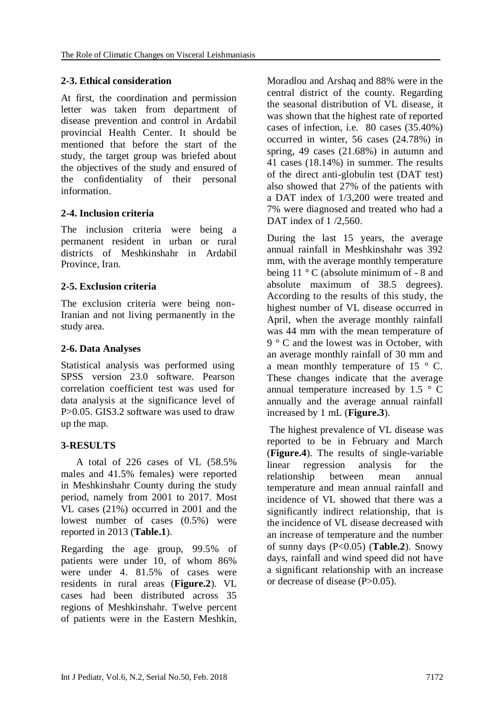### **2-3. Ethical consideration**

At first, the coordination and permission letter was taken from department of disease prevention and control in Ardabil provincial Health Center. It should be mentioned that before the start of the study, the target group was briefed about the objectives of the study and ensured of the confidentiality of their personal information.

# **2-4. Inclusion criteria**

The inclusion criteria were being a permanent resident in urban or rural districts of Meshkinshahr in Ardabil Province, Iran.

# **2-5. Exclusion criteria**

The exclusion criteria were being non-Iranian and not living permanently in the study area.

### **2-6. Data Analyses**

Statistical analysis was performed using SPSS version 23.0 software. Pearson correlation coefficient test was used for data analysis at the significance level of P>0.05. GIS3.2 software was used to draw up the map.

#### **3-RESULTS**

 A total of 226 cases of VL (58.5% males and 41.5% females) were reported in Meshkinshahr County during the study period, namely from 2001 to 2017. Most VL cases (21%) occurred in 2001 and the lowest number of cases (0.5%) were reported in 2013 (**Table.1**).

Regarding the age group, 99.5% of patients were under 10, of whom 86% were under 4. 81.5% of cases were residents in rural areas (**Figure.2**). VL cases had been distributed across 35 regions of Meshkinshahr. Twelve percent of patients were in the Eastern Meshkin,

Moradlou and Arshaq and 88% were in the central district of the county. Regarding the seasonal distribution of VL disease, it was shown that the highest rate of reported cases of infection, i.e. 80 cases (35.40%) occurred in winter, 56 cases (24.78%) in spring, 49 cases (21.68%) in autumn and 41 cases (18.14%) in summer. The results of the direct anti-globulin test (DAT test) also showed that 27% of the patients with a DAT index of 1/3,200 were treated and 7% were diagnosed and treated who had a DAT index of 1 /2,560.

During the last 15 years, the average annual rainfall in Meshkinshahr was 392 mm, with the average monthly temperature being  $11 \degree$  C (absolute minimum of - 8 and absolute maximum of 38.5 degrees). According to the results of this study, the highest number of VL disease occurred in April, when the average monthly rainfall was 44 mm with the mean temperature of 9 ° C and the lowest was in October, with an average monthly rainfall of 30 mm and a mean monthly temperature of 15 $\degree$  C. These changes indicate that the average annual temperature increased by 1.5  $\degree$  C annually and the average annual rainfall increased by 1 mL (**Figure.3**).

The highest prevalence of VL disease was reported to be in February and March (**Figure.4**). The results of single-variable linear regression analysis for the relationship between mean annual temperature and mean annual rainfall and incidence of VL showed that there was a significantly indirect relationship, that is the incidence of VL disease decreased with an increase of temperature and the number of sunny days (P<0.05) (**Table.2**). Snowy days, rainfall and wind speed did not have a significant relationship with an increase or decrease of disease (P>0.05).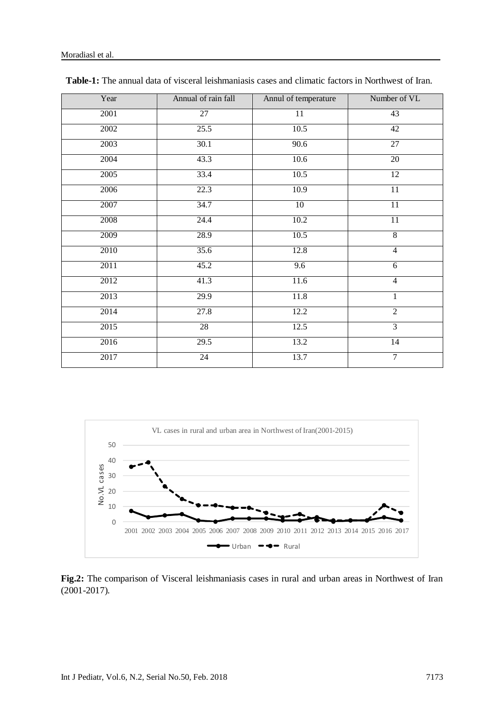| Year | Annual of rain fall | Annul of temperature | Number of VL    |
|------|---------------------|----------------------|-----------------|
| 2001 | 27                  | $11\,$               | 43              |
| 2002 | 25.5                | 10.5                 | 42              |
| 2003 | 30.1                | 90.6                 | 27              |
| 2004 | 43.3                | 10.6                 | 20              |
| 2005 | 33.4                | 10.5                 | $\overline{12}$ |
| 2006 | 22.3                | 10.9                 | $\overline{11}$ |
| 2007 | 34.7                | 10                   | 11              |
| 2008 | 24.4                | 10.2                 | 11              |
| 2009 | 28.9                | 10.5                 | $\overline{8}$  |
| 2010 | 35.6                | 12.8                 | $\overline{4}$  |
| 2011 | 45.2                | $\overline{9.6}$     | 6               |
| 2012 | 41.3                | 11.6                 | $\overline{4}$  |
| 2013 | 29.9                | 11.8                 | $\mathbf{1}$    |
| 2014 | 27.8                | 12.2                 | $\overline{2}$  |
| 2015 | 28                  | 12.5                 | $\overline{3}$  |
| 2016 | 29.5                | 13.2                 | 14              |
| 2017 | 24                  | 13.7                 | $\overline{7}$  |

| <b>Table-1:</b> The annual data of visceral leishmaniasis cases and climatic factors in Northwest of Iran. |  |
|------------------------------------------------------------------------------------------------------------|--|
|------------------------------------------------------------------------------------------------------------|--|



**Fig.2:** The comparison of Visceral leishmaniasis cases in rural and urban areas in Northwest of Iran (2001-2017).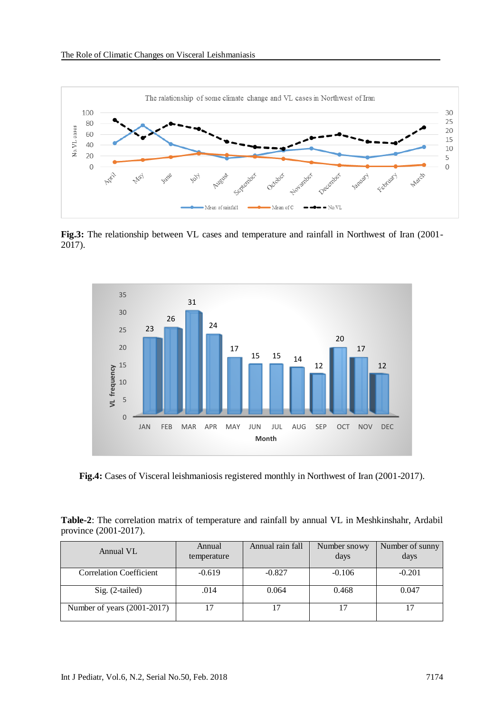

**Fig.3:** The relationship between VL cases and temperature and rainfall in Northwest of Iran (2001- 2017).



**Fig.4:** Cases of Visceral leishmaniosis registered monthly in Northwest of Iran (2001-2017).

|                       |  | Table-2: The correlation matrix of temperature and rainfall by annual VL in Meshkinshahr, Ardabil |  |
|-----------------------|--|---------------------------------------------------------------------------------------------------|--|
| province (2001-2017). |  |                                                                                                   |  |

| Annual VL                      | Annual<br>temperature | Annual rain fall | Number snowy<br>days | Number of sunny<br>days |
|--------------------------------|-----------------------|------------------|----------------------|-------------------------|
| <b>Correlation Coefficient</b> | $-0.619$              | $-0.827$         | $-0.106$             | $-0.201$                |
| $Sig. (2-tailed)$              | .014                  | 0.064            | 0.468                | 0.047                   |
| Number of years (2001-2017)    |                       |                  |                      |                         |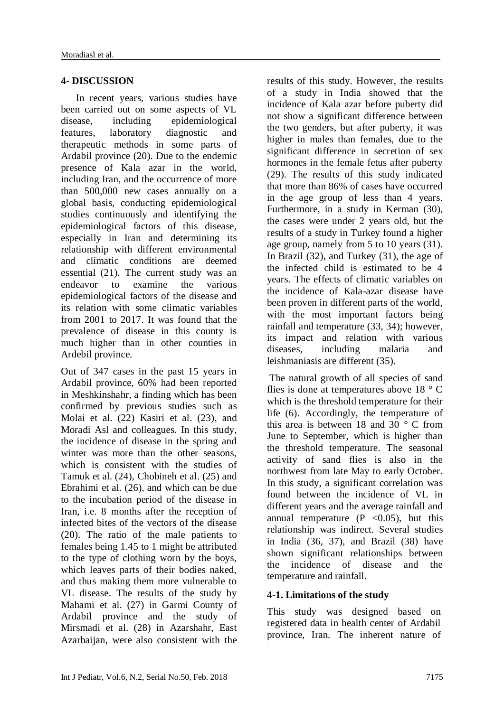# **4- DISCUSSION**

 In recent years, various studies have been carried out on some aspects of VL disease, including epidemiological features, laboratory diagnostic and therapeutic methods in some parts of Ardabil province (20). Due to the endemic presence of Kala azar in the world, including Iran, and the occurrence of more than 500,000 new cases annually on a global basis, conducting epidemiological studies continuously and identifying the epidemiological factors of this disease, especially in Iran and determining its relationship with different environmental and climatic conditions are deemed essential (21). The current study was an endeavor to examine the various epidemiological factors of the disease and its relation with some climatic variables from 2001 to 2017. It was found that the prevalence of disease in this county is much higher than in other counties in Ardebil province.

Out of 347 cases in the past 15 years in Ardabil province, 60% had been reported in Meshkinshahr, a finding which has been confirmed by previous studies such as Molai et al. (22) Kasiri et al. (23), and Moradi Asl and colleagues. In this study, the incidence of disease in the spring and winter was more than the other seasons, which is consistent with the studies of Tamuk et al. (24), Chobineh et al. (25) and Ebrahimi et al. (26), and which can be due to the incubation period of the disease in Iran, i.e. 8 months after the reception of infected bites of the vectors of the disease (20). The ratio of the male patients to females being 1.45 to 1 might be attributed to the type of clothing worn by the boys, which leaves parts of their bodies naked, and thus making them more vulnerable to VL disease. The results of the study by Mahami et al. (27) in Garmi County of Ardabil province and the study of Mirsmadi et al. (28) in Azarshahr, East Azarbaijan, were also consistent with the results of this study. However, the results of a study in India showed that the incidence of Kala azar before puberty did not show a significant difference between the two genders, but after puberty, it was higher in males than females, due to the significant difference in secretion of sex hormones in the female fetus after puberty (29). The results of this study indicated that more than 86% of cases have occurred in the age group of less than 4 years. Furthermore, in a study in Kerman (30), the cases were under 2 years old, but the results of a study in Turkey found a higher age group, namely from 5 to 10 years (31). In Brazil (32), and Turkey (31), the age of the infected child is estimated to be 4 years. The effects of climatic variables on the incidence of Kala-azar disease have been proven in different parts of the world, with the most important factors being rainfall and temperature (33, 34); however, its impact and relation with various diseases, including malaria and leishmaniasis are different (35).

The natural growth of all species of sand flies is done at temperatures above  $18 \degree$  C which is the threshold temperature for their life (6). Accordingly, the temperature of this area is between 18 and 30  $\degree$  C from June to September, which is higher than the threshold temperature. The seasonal activity of sand flies is also in the northwest from late May to early October. In this study, a significant correlation was found between the incidence of VL in different years and the average rainfall and annual temperature  $(P \lt 0.05)$ , but this relationship was indirect. Several studies in India (36, 37), and Brazil (38) have shown significant relationships between the incidence of disease and the temperature and rainfall.

# **4-1. Limitations of the study**

This study was designed based on registered data in health center of Ardabil province, Iran. The inherent nature of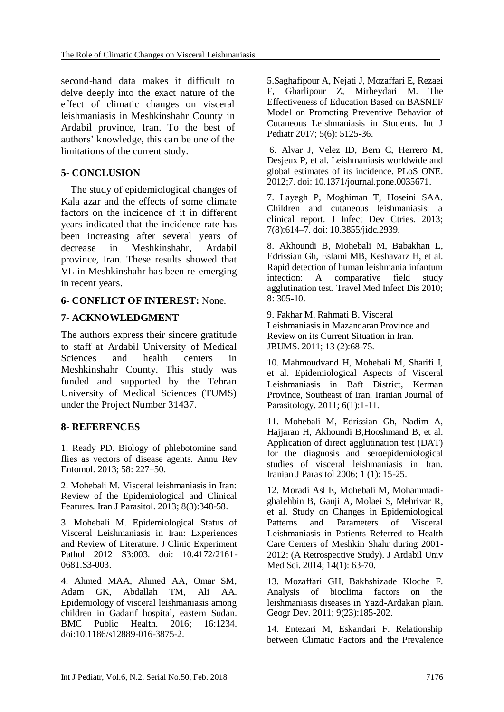second-hand data makes it difficult to delve deeply into the exact nature of the effect of climatic changes on visceral leishmaniasis in Meshkinshahr County in Ardabil province, Iran. To the best of authors' knowledge, this can be one of the limitations of the current study.

# **5- CONCLUSION**

 The study of epidemiological changes of Kala azar and the effects of some climate factors on the incidence of it in different years indicated that the incidence rate has been increasing after several years of decrease in Meshkinshahr, Ardabil province, Iran. These results showed that VL in Meshkinshahr has been re-emerging in recent years.

# **6- CONFLICT OF INTEREST:** None.

# **7- ACKNOWLEDGMENT**

The authors express their sincere gratitude to staff at Ardabil University of Medical Sciences and health centers in Meshkinshahr County. This study was funded and supported by the Tehran University of Medical Sciences (TUMS) under the Project Number 31437.

# **8- REFERENCES**

1. Ready PD. Biology of phlebotomine sand flies as vectors of disease agents. Annu Rev Entomol. 2013; 58: 227–50.

2. [Mohebali M.](https://www.ncbi.nlm.nih.gov/pubmed/?term=Mohebali%20M%5BAuthor%5D&cauthor=true&cauthor_uid=24454426) Visceral leishmaniasis in Iran: Review of the Epidemiological and Clinical Features. [Iran J Parasitol.](https://www.ncbi.nlm.nih.gov/pubmed/24454426) 2013; 8(3):348-58.

3. Mohebali M. Epidemiological Status of Visceral Leishmaniasis in Iran: Experiences and Review of Literature. J Clinic Experiment Pathol 2012 S3:003. doi: 10.4172/2161- 0681.S3-003.

4. Ahmed MAA, Ahmed AA, Omar SM, Adam GK, Abdallah TM, Ali AA. Epidemiology of visceral leishmaniasis among children in Gadarif hospital, eastern Sudan. BMC Public Health. 2016; 16:1234. doi:10.1186/s12889-016-3875-2.

5.Saghafipour A, Nejati J, Mozaffari E, Rezaei F, Gharlipour Z, Mirheydari M. The Effectiveness of Education Based on BASNEF Model on Promoting Preventive Behavior of Cutaneous Leishmaniasis in Students. Int J Pediatr 2017; 5(6): 5125-36.

6. Alvar J, Velez ID, Bern C, Herrero M, Desjeux P, et al. Leishmaniasis worldwide and global estimates of its incidence. PLoS ONE. 2012;7. doi: 10.1371/journal.pone.0035671.

7. Layegh P, Moghiman T, Hoseini SAA. Children and cutaneous leishmaniasis: a clinical report. J Infect Dev Ctries. 2013; 7(8):614–7. doi: 10.3855/jidc.2939.

8. Akhoundi B, Mohebali M, Babakhan L, Edrissian Gh, Eslami MB, Keshavarz H, et al. Rapid detection of human leishmania infantum infection: A comparative field study agglutination test. Travel Med Infect Dis 2010; 8: 305-10.

9. Fakhar M, Rahmati B. Visceral Leishmaniasis in Mazandaran Province and Review on its Current Situation in Iran. JBUMS. 2011; 13 (2):68-75.

10. Mahmoudvand H, Mohebali M, Sharifi I, et al. Epidemiological Aspects of Visceral Leishmaniasis in Baft District, Kerman Province, Southeast of Iran. Iranian Journal of Parasitology. 2011; 6(1):1-11.

11. Mohebali M, Edrissian Gh, Nadim A, Hajjaran H, Akhoundi B,Hooshmand B, et al. Application of direct agglutination test (DAT) for the diagnosis and seroepidemiological studies of visceral leishmaniasis in Iran. Iranian J Parasitol 2006; 1 (1): 15-25.

12. Moradi Asl E, Mohebali M, Mohammadighalehbin B, Ganji A, Molaei S, Mehrivar R, et al. Study on Changes in Epidemiological Patterns and Parameters of Visceral Leishmaniasis in Patients Referred to Health Care Centers of Meshkin Shahr during 2001- 2012: (A Retrospective Study). J Ardabil Univ Med Sci. 2014; 14(1): 63-70.

13. Mozaffari GH, Bakhshizade Kloche F. Analysis of bioclima factors on the leishmaniasis diseases in Yazd-Ardakan plain. Geogr Dev. 2011; 9(23):185-202.

14. Entezari M, Eskandari F. Relationship between Climatic Factors and the Prevalence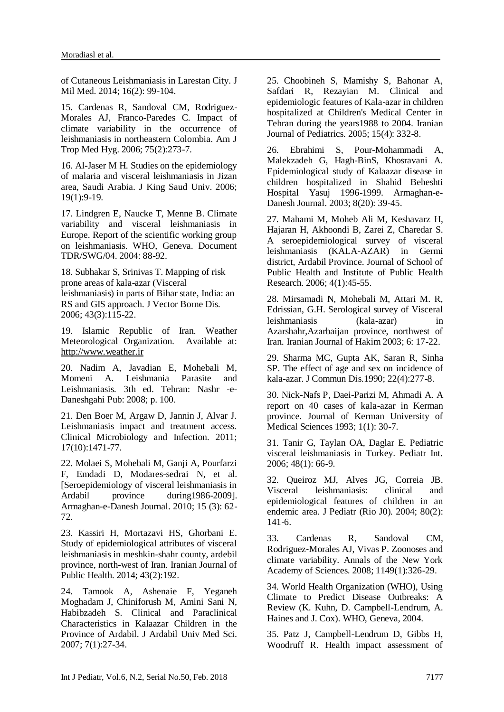of Cutaneous Leishmaniasis in Larestan City. J Mil Med. 2014; 16(2): 99-104.

15. Cardenas R, Sandoval CM, Rodriguez-Morales AJ, Franco-Paredes C. Impact of climate variability in the occurrence of leishmaniasis in northeastern Colombia. Am J Trop Med Hyg. 2006; 75(2):273-7.

16. Al-Jaser M H. Studies on the epidemiology of malaria and visceral leishmaniasis in Jizan area, Saudi Arabia. J King Saud Univ. 2006; 19(1):9-19.

17. Lindgren E, Naucke T, Menne B. Climate variability and visceral leishmaniasis in Europe. Report of the scientific working group on leishmaniasis. WHO, Geneva. Document TDR/SWG/04. 2004: 88-92.

18. Subhakar S, Srinivas T. Mapping of risk prone areas of kala-azar (Visceral leishmaniasis) in parts of Bihar state, India: an RS and GIS approach. J Vector Borne Dis. 2006; 43(3):115-22.

19. Islamic Republic of Iran. Weather Meteorological Organization. Available at: [http://www.weather.ir](http://www.weather.ir/)

20. Nadim A, Javadian E, Mohebali M, Momeni A. Leishmania Parasite and Leishmaniasis. 3th ed. Tehran: Nashr -e-Daneshgahi Pub: 2008; p. 100.

21. Den Boer M, Argaw D, Jannin J, Alvar J. Leishmaniasis impact and treatment access. Clinical Microbiology and Infection. 2011; 17(10):1471-77.

22. Molaei S, Mohebali M, Ganji A, Pourfarzi F, Emdadi D, Modares-sedrai N, et al. [Seroepidemiology of visceral leishmaniasis in Ardabil province during1986-2009]. Armaghan-e-Danesh Journal. 2010; 15 (3): 62- 72.

23. Kassiri H, Mortazavi HS, Ghorbani E. Study of epidemiological attributes of visceral leishmaniasis in meshkin-shahr county, ardebil province, north-west of Iran. Iranian Journal of Public Health. 2014; 43(2):192.

24. Tamook A, Ashenaie F, Yeganeh Moghadam J, Chiniforush M, Amini Sani N, Habibzadeh S. Clinical and Paraclinical Characteristics in Kalaazar Children in the Province of Ardabil. J Ardabil Univ Med Sci. 2007; 7(1):27-34.

25. Choobineh S, Mamishy S, Bahonar A, Safdari R, Rezayian M. Clinical and epidemiologic features of Kala-azar in children hospitalized at Children's Medical Center in Tehran during the years1988 to 2004. Iranian Journal of Pediatrics. 2005; 15(4): 332-8.

26. Ebrahimi S, Pour-Mohammadi A, Malekzadeh G, Hagh-BinS, Khosravani A. Epidemiological study of Kalaazar disease in children hospitalized in Shahid Beheshti Hospital Yasuj 1996-1999. Armaghan-e-Danesh Journal. 2003; 8(20): 39-45.

27. Mahami M, Moheb Ali M, Keshavarz H, Hajaran H, Akhoondi B, Zarei Z, Charedar S. A seroepidemiological survey of visceral leishmaniasis (KALA-AZAR) in Germi district, Ardabil Province. Journal of School of Public Health and Institute of Public Health Research. 2006; 4(1):45-55.

28. Mirsamadi N, Mohebali M, Attari M. R, Edrissian, G.H. Serological survey of Visceral leishmaniasis (kala-azar) in Azarshahr,Azarbaijan province, northwest of Iran. Iranian Journal of Hakim 2003; 6: 17-22.

29. Sharma MC, Gupta AK, Saran R, Sinha SP. The effect of age and sex on incidence of kala-azar. J Commun Dis.1990; 22(4):277-8.

30. Nick-Nafs P, Daei-Parizi M, Ahmadi A. A report on 40 cases of kala-azar in Kerman province. Journal of Kerman University of Medical Sciences 1993; 1(1): 30-7.

31. Tanir G, Taylan OA, Daglar E. Pediatric visceral leishmaniasis in Turkey. Pediatr Int. 2006; 48(1): 66-9.

32. Queiroz MJ, Alves JG, Correia JB. Visceral leishmaniasis: clinical and epidemiological features of children in an endemic area. J Pediatr (Rio J0). 2004; 80(2): 141-6.

33. Cardenas R, Sandoval CM, Rodriguez‐Morales AJ, Vivas P. Zoonoses and climate variability. Annals of the New York Academy of Sciences. 2008; 1149(1):326-29.

34. World Health Organization (WHO), Using Climate to Predict Disease Outbreaks: A Review (K. Kuhn, D. Campbell-Lendrum, A. Haines and J. Cox). WHO, Geneva, 2004.

35. Patz J, Campbell-Lendrum D, Gibbs H, Woodruff R. Health impact assessment of